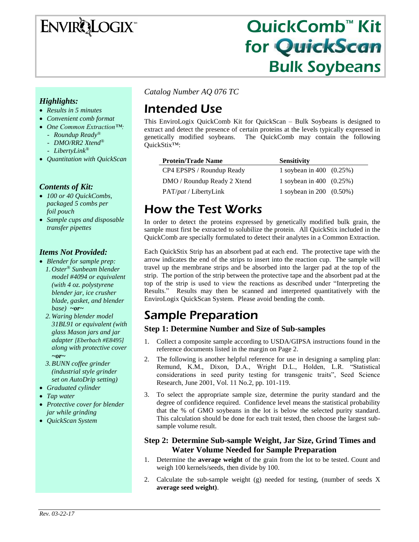# **ENVIRQLOGIX**

# QuickComb™ Kit for QuickScan Bulk Soybeans

### *Highlights:*

- *Results in 5 minutes*
- *Convenient comb format*
- *One Common Extraction™:*
	- *Roundup Ready®*
	- *DMO/RR2 Xtend®*
	- *LibertyLink®*
- *Quantitation with QuickScan*

### *Contents of Kit:*

- *100 or 40 QuickCombs, packaged 5 combs per foil pouch*
- *Sample cups and disposable transfer pipettes*

### *Items Not Provided:*

- *Blender for sample prep: 1. Oster® Sunbeam blender model #4094 or equivalent (with 4 oz. polystyrene blender jar, ice crusher blade, gasket, and blender base) ~or~*
	- *2. Waring blender model 31BL91 or equivalent (with glass Mason jars and jar adapter [Eberbach #E8495] along with protective cover ~or~*
	- *3.BUNN coffee grinder (industrial style grinder set on AutoDrip setting)*
- *Graduated cylinder*
- *Tap water*
- *Protective cover for blender jar while grinding*
- *QuickScan System*

*Catalog Number AQ 076 TC*

# Intended Use

This EnviroLogix QuickComb Kit for QuickScan – Bulk Soybeans is designed to extract and detect the presence of certain proteins at the levels typically expressed in genetically modified soybeans. The QuickComb may contain the following QuickStix™:

| <b>Protein/Trade Name</b>     | <b>Sensitivity</b>          |
|-------------------------------|-----------------------------|
| CP4 EPSPS / Roundup Ready     | 1 soybean in 400 $(0.25%)$  |
| DMO / Roundup Ready 2 Xtend   | 1 soybean in 400 $(0.25%)$  |
| PAT/ <i>pat</i> / LibertyLink | 1 soybean in 200 $(0.50\%)$ |

# How the Test Works

In order to detect the proteins expressed by genetically modified bulk grain, the sample must first be extracted to solubilize the protein. All QuickStix included in the QuickComb are specially formulated to detect their analytes in a Common Extraction.

Each QuickStix Strip has an absorbent pad at each end. The protective tape with the arrow indicates the end of the strips to insert into the reaction cup. The sample will travel up the membrane strips and be absorbed into the larger pad at the top of the strip. The portion of the strip between the protective tape and the absorbent pad at the top of the strip is used to view the reactions as described under "Interpreting the Results." Results may then be scanned and interpreted quantitatively with the EnviroLogix QuickScan System. Please avoid bending the comb.

# Sample Preparation

### **Step 1: Determine Number and Size of Sub-samples**

- 1. Collect a composite sample according to USDA/GIPSA instructions found in the reference documents listed in the margin on Page 2.
- 2. The following is another helpful reference for use in designing a sampling plan: Remund, K.M., Dixon, D.A., Wright D.L., Holden, L.R. "Statistical considerations in seed purity testing for transgenic traits", Seed Science Research, June 2001, Vol. 11 No.2, pp. 101-119.
- 3. To select the appropriate sample size, determine the purity standard and the degree of confidence required. Confidence level means the statistical probability that the % of GMO soybeans in the lot is below the selected purity standard. This calculation should be done for each trait tested, then choose the largest subsample volume result.

### **Step 2: Determine Sub-sample Weight, Jar Size, Grind Times and Water Volume Needed for Sample Preparation**

- 1. Determine the **average weight** of the grain from the lot to be tested. Count and weigh 100 kernels/seeds, then divide by 100.
- 2. Calculate the sub-sample weight (g) needed for testing, (number of seeds X **average seed weight)**.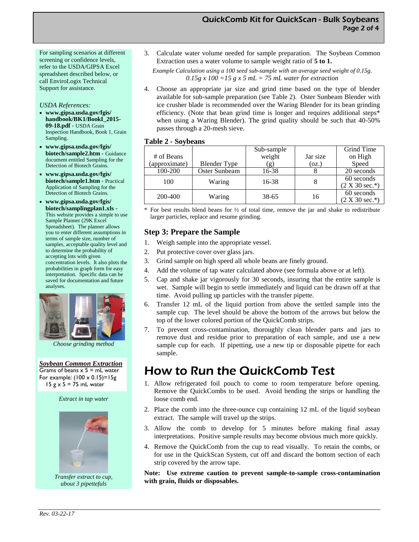For sampling scenarios at different screening or confidence levels, refer to the USDA/GIPSA Excel spreadsheet described below, or call EnviroLogix Technical Support for assistance.

#### *USDA References:*

- **www.gipsa.usda.gov/fgis/ handbook/BK1/BookI\_2015- 09-18.pdf** - USDA Grain Inspection Handbook, Book 1, Grain Sampling.
- **www.gipsa.usda.gov/fgis/ biotech/sample2.htm** - Guidance document entitled Sampling for the Detection of Biotech Grains.
- **www.gipsa.usda.gov/fgis/ biotech/sample1.htm** - Practical Application of Sampling for the Detection of Biotech Grains.
- **www.gipsa.usda.gov/fgis/ biotech/samplingplan1.xls -** This website provides a simple to use Sample Planner (29K Excel Spreadsheet). The planner allows you to enter different assumptions in terms of sample size, number of samples, acceptable quality level and to determine the probability of accepting lots with given concentration levels. It also plots the probabilities in graph form for easy interpretation. Specific data can be saved for documentation and future analyses.



*Choose grinding method*

*Soybean Common Extraction* Grams of beans  $x$  5 = mL water For example:  $(100 \times 0.15) = 15g$ 15  $g \times 5 = 75$  mL water

*Extract in tap water*



*Transfer extract to cup, about 3 pipettefuls*

3. Calculate water volume needed for sample preparation. The Soybean Common Extraction uses a water volume to sample weight ratio of **5 to 1.**

*Example Calculation using a 100 seed sub-sample with an average seed weight of 0.15g. 0.15g x 100 =15 g x 5 mL = 75 mL water for extraction*

4. Choose an appropriate jar size and grind time based on the type of blender available for sub-sample preparation (see Table 2). Oster Sunbeam Blender with ice crusher blade is recommended over the Waring Blender for its bean grinding efficiency. (Note that bean grind time is longer and requires additional steps\* when using a Waring Blender). The grind quality should be such that 40-50% passes through a 20-mesh sieve.

#### **Table 2 - Soybeans**

|               |                     | Sub-sample   |          | Grind Time                     |
|---------------|---------------------|--------------|----------|--------------------------------|
| # of Beans    |                     | weight       | Jar size | on High                        |
| (approximate) | <b>Blender Type</b> | $\mathbf{g}$ | (oz.)    | Speed                          |
| 100-200       | Oster Sunbeam       | 16-38        |          | 20 seconds                     |
| 100           | Waring              | 16-38        |          | 60 seconds<br>$(2 X 30 sec.*)$ |
| 200-400       | Waring              | 38-65        | 16       | 60 seconds<br>$(2 X 30 sec.*)$ |

\* For best results blend beans for ½ of total time, remove the jar and shake to redistribute larger particles, replace and resume grinding.

### **Step 3: Prepare the Sample**

- 1. Weigh sample into the appropriate vessel.
- 2. Put protective cover over glass jars.
- 3. Grind sample on high speed all whole beans are finely ground.
- 4. Add the volume of tap water calculated above (see formula above or at left).
- 5. Cap and shake jar vigorously for 30 seconds, insuring that the entire sample is wet. Sample will begin to settle immediately and liquid can be drawn off at that time. Avoid pulling up particles with the transfer pipette.
- 6. Transfer 12 mL of the liquid portion from above the settled sample into the sample cup. The level should be above the bottom of the arrows but below the top of the lower colored portion of the QuickComb strips.
- 7. To prevent cross-contamination, thoroughly clean blender parts and jars to remove dust and residue prior to preparation of each sample, and use a new sample cup for each. If pipetting, use a new tip or disposable pipette for each sample.

# How to Run the QuickComb Test

- 1. Allow refrigerated foil pouch to come to room temperature before opening. Remove the QuickCombs to be used. Avoid bending the strips or handling the loose comb end.
- 2. Place the comb into the three-ounce cup containing 12 mL of the liquid soybean extract. The sample will travel up the strips.
- 3. Allow the comb to develop for 5 minutes before making final assay interpretations. Positive sample results may become obvious much more quickly.
- 4. Remove the QuickComb from the cup to read visually. To retain the combs, or for use in the QuickScan System, cut off and discard the bottom section of each strip covered by the arrow tape.

**Note: Use extreme caution to prevent sample-to-sample cross-contamination with grain, fluids or disposables.**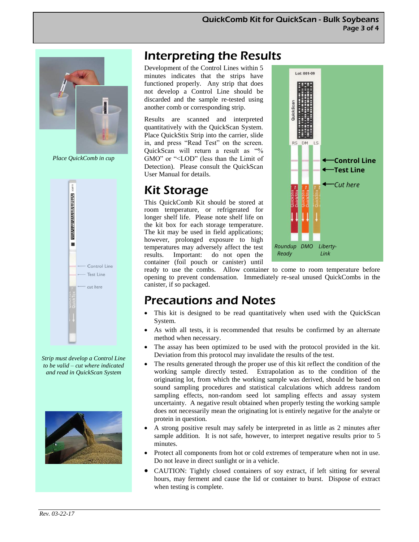

*Place QuickComb in cup*



*Strip must develop a Control Line to be valid – cut where indicated and read in QuickScan System* 



# Interpreting the Results

Development of the Control Lines within 5 minutes indicates that the strips have functioned properly. Any strip that does not develop a Control Line should be discarded and the sample re-tested using another comb or corresponding strip.

Results are scanned and interpreted quantitatively with the QuickScan System. Place QuickStix Strip into the carrier, slide in, and press "Read Test" on the screen. QuickScan will return a result as "% GMO" or "<LOD" (less than the Limit of Detection). Please consult the QuickScan User Manual for details.

# Kit Storage

This QuickComb Kit should be stored at room temperature, or refrigerated for longer shelf life. Please note shelf life on the kit box for each storage temperature. The kit may be used in field applications; however, prolonged exposure to high temperatures may adversely affect the test results. Important: do not open the container (foil pouch or canister) until



ready to use the combs. Allow container to come to room temperature before opening to prevent condensation. Immediately re-seal unused QuickCombs in the canister, if so packaged.

# Precautions and Notes

- This kit is designed to be read quantitatively when used with the QuickScan System.
- As with all tests, it is recommended that results be confirmed by an alternate method when necessary.
- The assay has been optimized to be used with the protocol provided in the kit. Deviation from this protocol may invalidate the results of the test.
- The results generated through the proper use of this kit reflect the condition of the working sample directly tested. Extrapolation as to the condition of the originating lot, from which the working sample was derived, should be based on sound sampling procedures and statistical calculations which address random sampling effects, non-random seed lot sampling effects and assay system uncertainty. A negative result obtained when properly testing the working sample does not necessarily mean the originating lot is entirely negative for the analyte or protein in question.
- A strong positive result may safely be interpreted in as little as 2 minutes after sample addition. It is not safe, however, to interpret negative results prior to 5 minutes.
- Protect all components from hot or cold extremes of temperature when not in use. Do not leave in direct sunlight or in a vehicle.
- CAUTION: Tightly closed containers of soy extract, if left sitting for several hours, may ferment and cause the lid or container to burst. Dispose of extract when testing is complete.